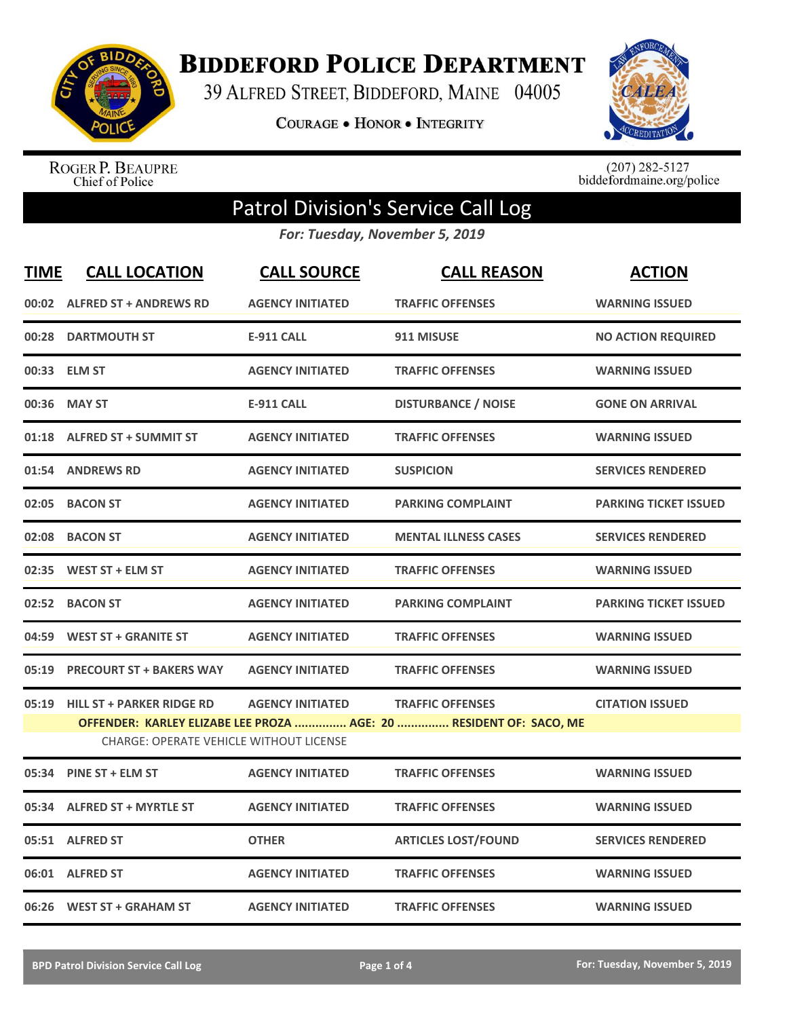

**BIDDEFORD POLICE DEPARTMENT** 

39 ALFRED STREET, BIDDEFORD, MAINE 04005

**COURAGE . HONOR . INTEGRITY** 



ROGER P. BEAUPRE<br>Chief of Police

 $(207)$  282-5127<br>biddefordmaine.org/police

## Patrol Division's Service Call Log

*For: Tuesday, November 5, 2019*

| <b>TIME</b> | <b>CALL LOCATION</b>                           | <b>CALL SOURCE</b>      | <b>CALL REASON</b>                                                 | <b>ACTION</b>                |
|-------------|------------------------------------------------|-------------------------|--------------------------------------------------------------------|------------------------------|
|             | 00:02 ALFRED ST + ANDREWS RD                   | <b>AGENCY INITIATED</b> | <b>TRAFFIC OFFENSES</b>                                            | <b>WARNING ISSUED</b>        |
|             | 00:28 DARTMOUTH ST                             | <b>E-911 CALL</b>       | 911 MISUSE                                                         | <b>NO ACTION REQUIRED</b>    |
|             | 00:33 ELM ST                                   | <b>AGENCY INITIATED</b> | <b>TRAFFIC OFFENSES</b>                                            | <b>WARNING ISSUED</b>        |
| 00:36       | <b>MAY ST</b>                                  | <b>E-911 CALL</b>       | <b>DISTURBANCE / NOISE</b>                                         | <b>GONE ON ARRIVAL</b>       |
|             | 01:18 ALFRED ST + SUMMIT ST                    | <b>AGENCY INITIATED</b> | <b>TRAFFIC OFFENSES</b>                                            | <b>WARNING ISSUED</b>        |
|             | 01:54 ANDREWS RD                               | <b>AGENCY INITIATED</b> | <b>SUSPICION</b>                                                   | <b>SERVICES RENDERED</b>     |
|             | 02:05 BACON ST                                 | <b>AGENCY INITIATED</b> | <b>PARKING COMPLAINT</b>                                           | <b>PARKING TICKET ISSUED</b> |
|             | 02:08 BACON ST                                 | <b>AGENCY INITIATED</b> | <b>MENTAL ILLNESS CASES</b>                                        | <b>SERVICES RENDERED</b>     |
|             | 02:35 WEST ST + ELM ST                         | <b>AGENCY INITIATED</b> | <b>TRAFFIC OFFENSES</b>                                            | <b>WARNING ISSUED</b>        |
|             | 02:52 BACON ST                                 | <b>AGENCY INITIATED</b> | <b>PARKING COMPLAINT</b>                                           | <b>PARKING TICKET ISSUED</b> |
|             | 04:59 WEST ST + GRANITE ST                     | <b>AGENCY INITIATED</b> | <b>TRAFFIC OFFENSES</b>                                            | <b>WARNING ISSUED</b>        |
|             | 05:19 PRECOURT ST + BAKERS WAY                 | <b>AGENCY INITIATED</b> | <b>TRAFFIC OFFENSES</b>                                            | <b>WARNING ISSUED</b>        |
| 05:19       | <b>HILL ST + PARKER RIDGE RD</b>               | <b>AGENCY INITIATED</b> | <b>TRAFFIC OFFENSES</b>                                            | <b>CITATION ISSUED</b>       |
|             | <b>CHARGE: OPERATE VEHICLE WITHOUT LICENSE</b> |                         | OFFENDER: KARLEY ELIZABE LEE PROZA  AGE: 20  RESIDENT OF: SACO, ME |                              |
|             | 05:34 PINE ST + ELM ST                         | <b>AGENCY INITIATED</b> | <b>TRAFFIC OFFENSES</b>                                            | <b>WARNING ISSUED</b>        |
|             | 05:34 ALFRED ST + MYRTLE ST                    | <b>AGENCY INITIATED</b> | <b>TRAFFIC OFFENSES</b>                                            | <b>WARNING ISSUED</b>        |
|             | 05:51 ALFRED ST                                | <b>OTHER</b>            | <b>ARTICLES LOST/FOUND</b>                                         | <b>SERVICES RENDERED</b>     |
|             | 06:01 ALFRED ST                                | <b>AGENCY INITIATED</b> | <b>TRAFFIC OFFENSES</b>                                            | <b>WARNING ISSUED</b>        |
|             | 06:26 WEST ST + GRAHAM ST                      | <b>AGENCY INITIATED</b> | <b>TRAFFIC OFFENSES</b>                                            | <b>WARNING ISSUED</b>        |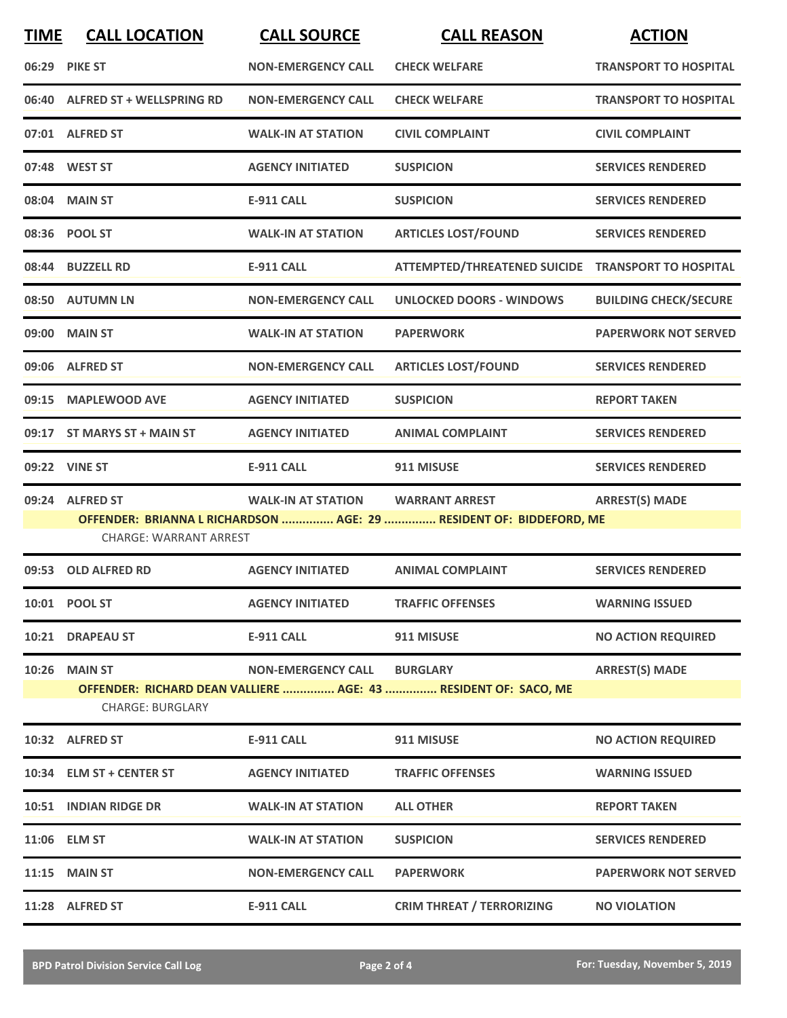| <b>TIME</b> | <b>CALL LOCATION</b>             | <b>CALL SOURCE</b>        | <b>CALL REASON</b>                                                  | <b>ACTION</b>                |
|-------------|----------------------------------|---------------------------|---------------------------------------------------------------------|------------------------------|
|             | 06:29 PIKE ST                    | <b>NON-EMERGENCY CALL</b> | <b>CHECK WELFARE</b>                                                | <b>TRANSPORT TO HOSPITAL</b> |
| 06:40       | <b>ALFRED ST + WELLSPRING RD</b> | <b>NON-EMERGENCY CALL</b> | <b>CHECK WELFARE</b>                                                | <b>TRANSPORT TO HOSPITAL</b> |
|             | 07:01 ALFRED ST                  | <b>WALK-IN AT STATION</b> | <b>CIVIL COMPLAINT</b>                                              | <b>CIVIL COMPLAINT</b>       |
|             | 07:48 WEST ST                    | <b>AGENCY INITIATED</b>   | <b>SUSPICION</b>                                                    | <b>SERVICES RENDERED</b>     |
|             | 08:04 MAIN ST                    | <b>E-911 CALL</b>         | <b>SUSPICION</b>                                                    | <b>SERVICES RENDERED</b>     |
|             | 08:36 POOL ST                    | <b>WALK-IN AT STATION</b> | <b>ARTICLES LOST/FOUND</b>                                          | <b>SERVICES RENDERED</b>     |
|             | 08:44 BUZZELL RD                 | <b>E-911 CALL</b>         | ATTEMPTED/THREATENED SUICIDE TRANSPORT TO HOSPITAL                  |                              |
|             | 08:50 AUTUMN LN                  | <b>NON-EMERGENCY CALL</b> | <b>UNLOCKED DOORS - WINDOWS</b>                                     | <b>BUILDING CHECK/SECURE</b> |
|             | 09:00 MAIN ST                    | <b>WALK-IN AT STATION</b> | <b>PAPERWORK</b>                                                    | <b>PAPERWORK NOT SERVED</b>  |
|             | 09:06 ALFRED ST                  | <b>NON-EMERGENCY CALL</b> | <b>ARTICLES LOST/FOUND</b>                                          | <b>SERVICES RENDERED</b>     |
|             | 09:15 MAPLEWOOD AVE              | <b>AGENCY INITIATED</b>   | <b>SUSPICION</b>                                                    | <b>REPORT TAKEN</b>          |
|             | 09:17 ST MARYS ST + MAIN ST      | <b>AGENCY INITIATED</b>   | <b>ANIMAL COMPLAINT</b>                                             | <b>SERVICES RENDERED</b>     |
|             | 09:22 VINE ST                    | <b>E-911 CALL</b>         | 911 MISUSE                                                          | <b>SERVICES RENDERED</b>     |
|             | 09:24 ALFRED ST                  | <b>WALK-IN AT STATION</b> | <b>WARRANT ARREST</b>                                               | <b>ARREST(S) MADE</b>        |
|             | <b>CHARGE: WARRANT ARREST</b>    |                           | OFFENDER: BRIANNA L RICHARDSON  AGE: 29  RESIDENT OF: BIDDEFORD, ME |                              |
| 09:53       | <b>OLD ALFRED RD</b>             | <b>AGENCY INITIATED</b>   | <b>ANIMAL COMPLAINT</b>                                             | <b>SERVICES RENDERED</b>     |
|             | 10:01 POOL ST                    | <b>AGENCY INITIATED</b>   | <b>TRAFFIC OFFENSES</b>                                             | <b>WARNING ISSUED</b>        |
|             | 10:21 DRAPEAU ST                 | <b>E-911 CALL</b>         | 911 MISUSE                                                          | <b>NO ACTION REQUIRED</b>    |
|             | <b>10:26 MAIN ST</b>             | <b>NON-EMERGENCY CALL</b> | <b>BURGLARY</b>                                                     | <b>ARREST(S) MADE</b>        |
|             | <b>CHARGE: BURGLARY</b>          |                           | OFFENDER: RICHARD DEAN VALLIERE  AGE: 43  RESIDENT OF: SACO, ME     |                              |
|             | 10:32 ALFRED ST                  | <b>E-911 CALL</b>         | 911 MISUSE                                                          | <b>NO ACTION REQUIRED</b>    |
|             | 10:34 ELM ST + CENTER ST         | <b>AGENCY INITIATED</b>   | <b>TRAFFIC OFFENSES</b>                                             | <b>WARNING ISSUED</b>        |
|             | 10:51 INDIAN RIDGE DR            | <b>WALK-IN AT STATION</b> | <b>ALL OTHER</b>                                                    | <b>REPORT TAKEN</b>          |
|             | 11:06 ELM ST                     | <b>WALK-IN AT STATION</b> | <b>SUSPICION</b>                                                    | <b>SERVICES RENDERED</b>     |
|             | 11:15 MAIN ST                    | <b>NON-EMERGENCY CALL</b> | <b>PAPERWORK</b>                                                    | <b>PAPERWORK NOT SERVED</b>  |
|             | 11:28 ALFRED ST                  | <b>E-911 CALL</b>         | <b>CRIM THREAT / TERRORIZING</b>                                    | <b>NO VIOLATION</b>          |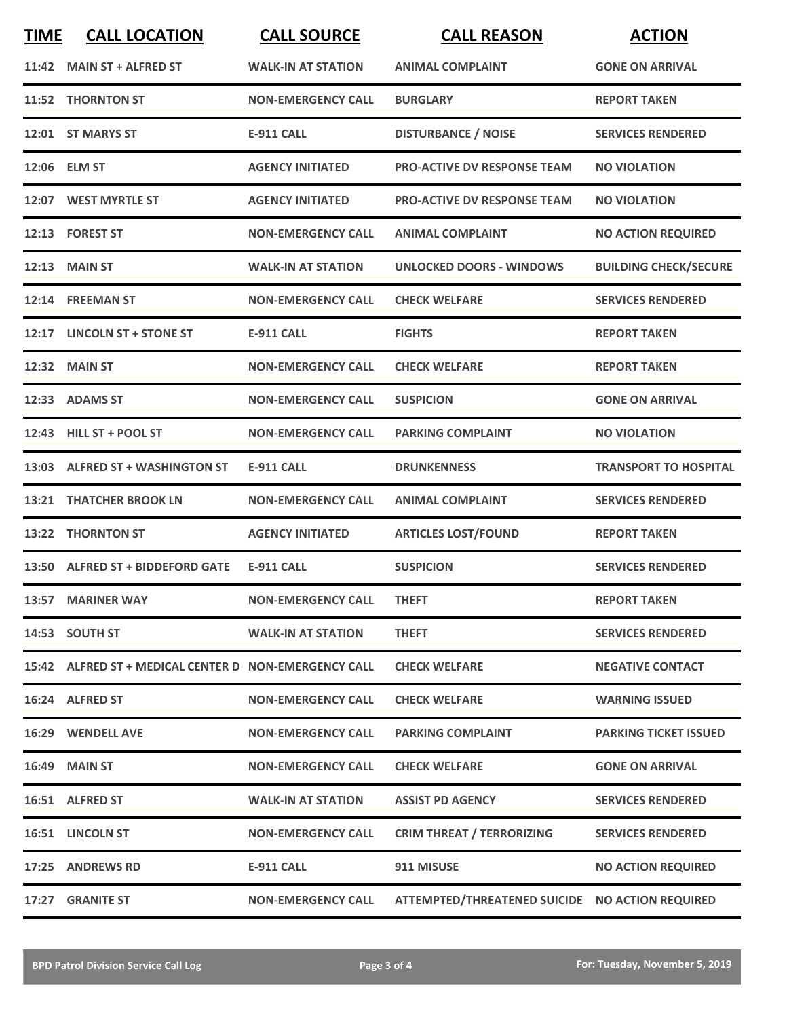| <b>TIME</b> | <b>CALL LOCATION</b>                                  | <b>CALL SOURCE</b>        | <b>CALL REASON</b>                              | <b>ACTION</b>                |
|-------------|-------------------------------------------------------|---------------------------|-------------------------------------------------|------------------------------|
|             | 11:42 MAIN ST + ALFRED ST                             | <b>WALK-IN AT STATION</b> | <b>ANIMAL COMPLAINT</b>                         | <b>GONE ON ARRIVAL</b>       |
|             | 11:52 THORNTON ST                                     | <b>NON-EMERGENCY CALL</b> | <b>BURGLARY</b>                                 | <b>REPORT TAKEN</b>          |
|             | 12:01 ST MARYS ST                                     | <b>E-911 CALL</b>         | <b>DISTURBANCE / NOISE</b>                      | <b>SERVICES RENDERED</b>     |
|             | 12:06 ELM ST                                          | <b>AGENCY INITIATED</b>   | <b>PRO-ACTIVE DV RESPONSE TEAM</b>              | <b>NO VIOLATION</b>          |
|             | 12:07 WEST MYRTLE ST                                  | <b>AGENCY INITIATED</b>   | <b>PRO-ACTIVE DV RESPONSE TEAM</b>              | <b>NO VIOLATION</b>          |
|             | 12:13 FOREST ST                                       | <b>NON-EMERGENCY CALL</b> | <b>ANIMAL COMPLAINT</b>                         | <b>NO ACTION REQUIRED</b>    |
|             | 12:13 MAIN ST                                         | <b>WALK-IN AT STATION</b> | <b>UNLOCKED DOORS - WINDOWS</b>                 | <b>BUILDING CHECK/SECURE</b> |
|             | 12:14 FREEMAN ST                                      | <b>NON-EMERGENCY CALL</b> | <b>CHECK WELFARE</b>                            | <b>SERVICES RENDERED</b>     |
|             | 12:17 LINCOLN ST + STONE ST                           | <b>E-911 CALL</b>         | <b>FIGHTS</b>                                   | <b>REPORT TAKEN</b>          |
|             | 12:32 MAIN ST                                         | <b>NON-EMERGENCY CALL</b> | <b>CHECK WELFARE</b>                            | <b>REPORT TAKEN</b>          |
|             | 12:33 ADAMS ST                                        | <b>NON-EMERGENCY CALL</b> | <b>SUSPICION</b>                                | <b>GONE ON ARRIVAL</b>       |
|             | 12:43 HILL ST + POOL ST                               | <b>NON-EMERGENCY CALL</b> | <b>PARKING COMPLAINT</b>                        | <b>NO VIOLATION</b>          |
|             | 13:03 ALFRED ST + WASHINGTON ST                       | <b>E-911 CALL</b>         | <b>DRUNKENNESS</b>                              | <b>TRANSPORT TO HOSPITAL</b> |
| 13:21       | <b>THATCHER BROOK LN</b>                              | <b>NON-EMERGENCY CALL</b> | <b>ANIMAL COMPLAINT</b>                         | <b>SERVICES RENDERED</b>     |
| 13:22       | <b>THORNTON ST</b>                                    | <b>AGENCY INITIATED</b>   | <b>ARTICLES LOST/FOUND</b>                      | <b>REPORT TAKEN</b>          |
|             | 13:50 ALFRED ST + BIDDEFORD GATE                      | E-911 CALL                | <b>SUSPICION</b>                                | <b>SERVICES RENDERED</b>     |
|             | 13:57 MARINER WAY                                     | <b>NON-EMERGENCY CALL</b> | <b>THEFT</b>                                    | <b>REPORT TAKEN</b>          |
|             | 14:53 SOUTH ST                                        | <b>WALK-IN AT STATION</b> | <b>THEFT</b>                                    | <b>SERVICES RENDERED</b>     |
|             | 15:42 ALFRED ST + MEDICAL CENTER D NON-EMERGENCY CALL |                           | <b>CHECK WELFARE</b>                            | <b>NEGATIVE CONTACT</b>      |
|             | 16:24 ALFRED ST                                       | <b>NON-EMERGENCY CALL</b> | <b>CHECK WELFARE</b>                            | <b>WARNING ISSUED</b>        |
|             | 16:29 WENDELL AVE                                     | <b>NON-EMERGENCY CALL</b> | <b>PARKING COMPLAINT</b>                        | <b>PARKING TICKET ISSUED</b> |
|             | <b>16:49 MAIN ST</b>                                  | <b>NON-EMERGENCY CALL</b> | <b>CHECK WELFARE</b>                            | <b>GONE ON ARRIVAL</b>       |
|             | 16:51 ALFRED ST                                       | <b>WALK-IN AT STATION</b> | <b>ASSIST PD AGENCY</b>                         | <b>SERVICES RENDERED</b>     |
|             | 16:51 LINCOLN ST                                      | <b>NON-EMERGENCY CALL</b> | <b>CRIM THREAT / TERRORIZING</b>                | <b>SERVICES RENDERED</b>     |
|             | 17:25 ANDREWS RD                                      | <b>E-911 CALL</b>         | 911 MISUSE                                      | <b>NO ACTION REQUIRED</b>    |
|             | 17:27 GRANITE ST                                      | <b>NON-EMERGENCY CALL</b> | ATTEMPTED/THREATENED SUICIDE NO ACTION REQUIRED |                              |